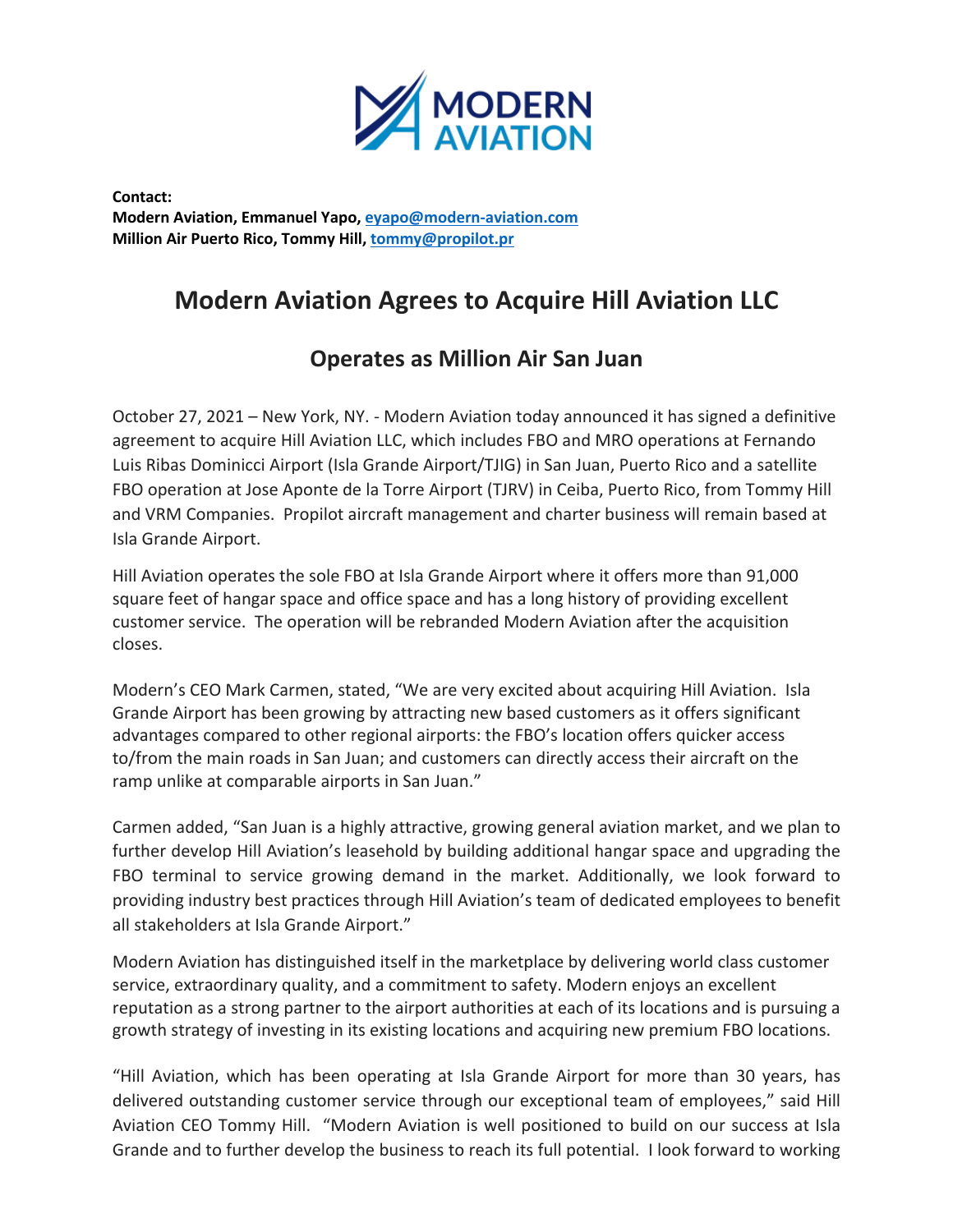

**Contact: Modern Aviation, Emmanuel Yapo, eyapo@modern-aviation.com Million Air Puerto Rico, Tommy Hill, tommy@propilot.pr**

# **Modern Aviation Agrees to Acquire Hill Aviation LLC**

## **Operates as Million Air San Juan**

October 27, 2021 – New York, NY. - Modern Aviation today announced it has signed a definitive agreement to acquire Hill Aviation LLC, which includes FBO and MRO operations at Fernando Luis Ribas Dominicci Airport (Isla Grande Airport/TJIG) in San Juan, Puerto Rico and a satellite FBO operation at Jose Aponte de la Torre Airport (TJRV) in Ceiba, Puerto Rico, from Tommy Hill and VRM Companies. Propilot aircraft management and charter business will remain based at Isla Grande Airport.

Hill Aviation operates the sole FBO at Isla Grande Airport where it offers more than 91,000 square feet of hangar space and office space and has a long history of providing excellent customer service. The operation will be rebranded Modern Aviation after the acquisition closes.

Modern's CEO Mark Carmen, stated, "We are very excited about acquiring Hill Aviation. Isla Grande Airport has been growing by attracting new based customers as it offers significant advantages compared to other regional airports: the FBO's location offers quicker access to/from the main roads in San Juan; and customers can directly access their aircraft on the ramp unlike at comparable airports in San Juan."

Carmen added, "San Juan is a highly attractive, growing general aviation market, and we plan to further develop Hill Aviation's leasehold by building additional hangar space and upgrading the FBO terminal to service growing demand in the market. Additionally, we look forward to providing industry best practices through Hill Aviation's team of dedicated employees to benefit all stakeholders at Isla Grande Airport."

Modern Aviation has distinguished itself in the marketplace by delivering world class customer service, extraordinary quality, and a commitment to safety. Modern enjoys an excellent reputation as a strong partner to the airport authorities at each of its locations and is pursuing a growth strategy of investing in its existing locations and acquiring new premium FBO locations.

"Hill Aviation, which has been operating at Isla Grande Airport for more than 30 years, has delivered outstanding customer service through our exceptional team of employees," said Hill Aviation CEO Tommy Hill. "Modern Aviation is well positioned to build on our success at Isla Grande and to further develop the business to reach its full potential. I look forward to working